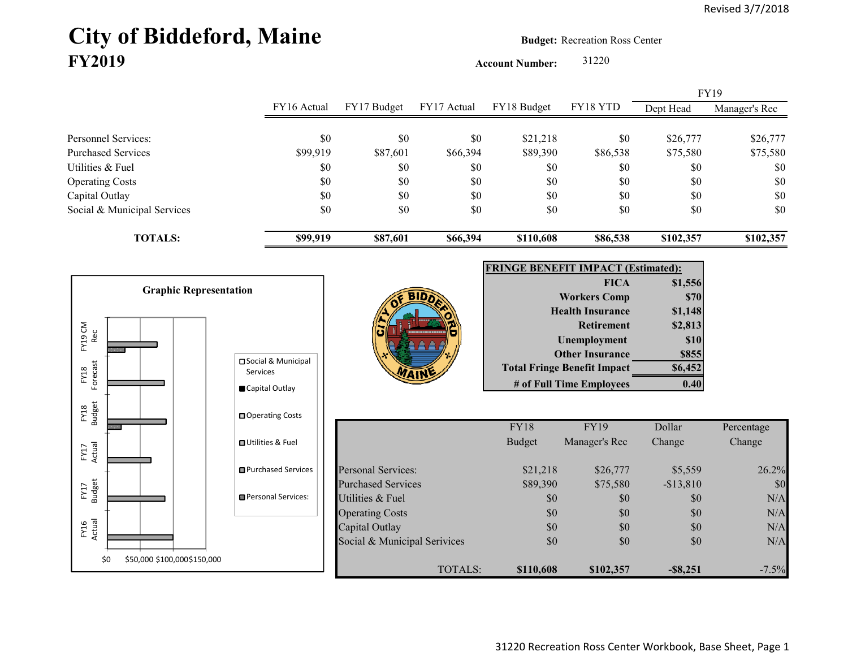# **City of Biddeford, Maine Budget:** Recreation Ross Center **FY2019**

**Account Number:** 31220

FY16 Actual FY17 Budget FY17 Actual FY18 Budget FY18 YTD Dept Head Manager's Rec Personnel Services: \* \* \* \* \* \* \* \$0 \$0 \$0 \$21,218 \$0 \$26,777 \$26,777 Purchased Services \$99,919 \$87,601 \$66,394 \$89,390 \$86,538 \$75,580 \$75,580 Utilities & Fuel \$0 \$0 \$0 \$0 \$0 \$0 \$0 Operating Costs \$0 \$0 \$0 \$0 \$0 \$0 Capital Outlay \$0 \$0 \$0 \$0 \$0 \$0 Social & Municipal Services \$0 \$0 \$0 \$0 \$0 \$0 \$0 **TOTALS: \$99,919 \$87,601 \$66,394 \$110,608 \$86,538 \$102,357 \$102,357** FY19

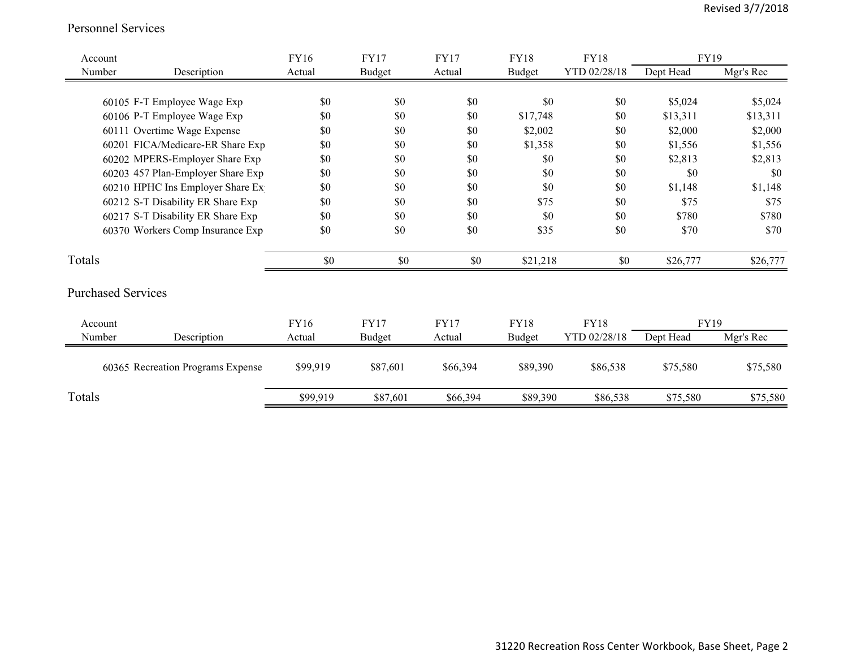#### Personnel Services

| Account |                                   | <b>FY16</b> | <b>FY17</b>   | <b>FY17</b> | <b>FY18</b>   | <b>FY18</b>  | <b>FY19</b> |           |
|---------|-----------------------------------|-------------|---------------|-------------|---------------|--------------|-------------|-----------|
| Number  | Description                       | Actual      | <b>Budget</b> | Actual      | <b>Budget</b> | YTD 02/28/18 | Dept Head   | Mgr's Rec |
|         |                                   |             |               |             |               |              |             |           |
|         | 60105 F-T Employee Wage Exp       | \$0         | \$0           | \$0         | \$0           | \$0          | \$5,024     | \$5,024   |
|         | 60106 P-T Employee Wage Exp       | \$0         | \$0           | \$0         | \$17,748      | \$0          | \$13,311    | \$13,311  |
|         | 60111 Overtime Wage Expense       | \$0         | \$0           | \$0         | \$2,002       | \$0          | \$2,000     | \$2,000   |
|         | 60201 FICA/Medicare-ER Share Exp  | \$0         | \$0           | \$0         | \$1,358       | \$0          | \$1,556     | \$1,556   |
|         | 60202 MPERS-Employer Share Exp    | \$0         | \$0           | \$0         | \$0           | \$0          | \$2,813     | \$2,813   |
|         | 60203 457 Plan-Employer Share Exp | \$0         | \$0           | \$0         | \$0           | \$0          | \$0         | \$0       |
|         | 60210 HPHC Ins Employer Share Ex  | \$0         | \$0           | \$0         | \$0           | \$0          | \$1,148     | \$1,148   |
|         | 60212 S-T Disability ER Share Exp | \$0         | \$0           | \$0         | \$75          | \$0          | \$75        | \$75      |
|         | 60217 S-T Disability ER Share Exp | \$0         | \$0           | \$0         | \$0           | \$0          | \$780       | \$780     |
|         | 60370 Workers Comp Insurance Exp  | \$0         | \$0           | \$0         | \$35          | \$0          | \$70        | \$70      |
| Totals  |                                   | \$0         | \$0           | \$0         | \$21,218      | \$0          | \$26,777    | \$26,777  |
|         | <b>Purchased Services</b>         |             |               |             |               |              |             |           |
| Account |                                   | FY16        | <b>FY17</b>   | <b>FY17</b> | <b>FY18</b>   | <b>FY18</b>  | FY19        |           |
| Number  | Description                       | Actual      | <b>Budget</b> | Actual      | <b>Budget</b> | YTD 02/28/18 | Dept Head   | Mgr's Rec |
|         | 60365 Recreation Programs Expense | \$99,919    | \$87,601      | \$66,394    | \$89,390      | \$86,538     | \$75,580    | \$75,580  |
| Totals  |                                   | \$99,919    | \$87,601      | \$66,394    | \$89,390      | \$86,538     | \$75,580    | \$75,580  |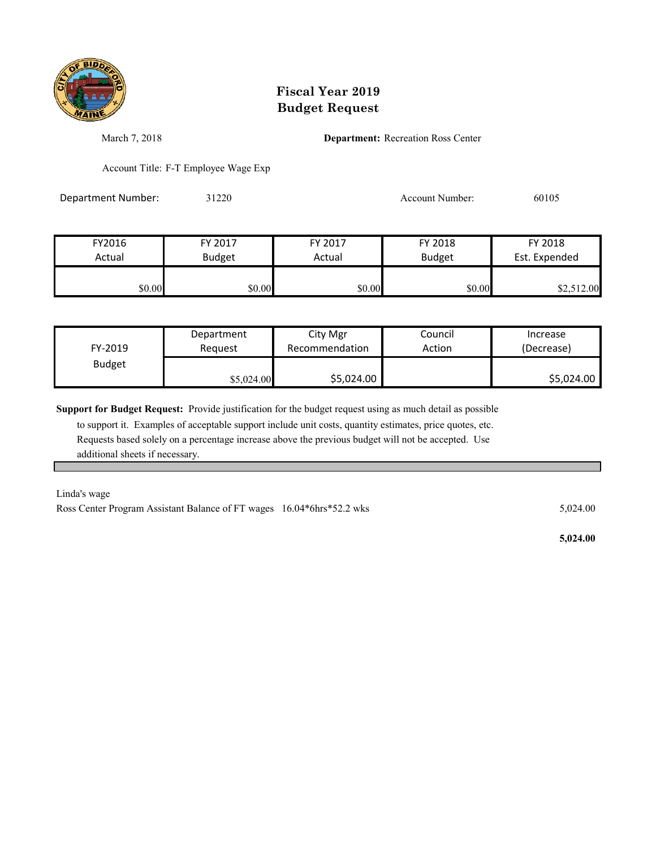

March 7, 2018 **Department:** Recreation Ross Center

Account Title: F-T Employee Wage Exp

Department Number: 31220 31220 Account Number: 60105

| FY2016 | FY 2017       | FY 2017 | FY 2018       | FY 2018       |
|--------|---------------|---------|---------------|---------------|
| Actual | <b>Budget</b> | Actual  | <b>Budget</b> | Est. Expended |
|        |               |         |               |               |
| \$0.00 | \$0.00        | \$0.00  | \$0.00        | \$2,512.00    |

| FY-2019       | Department | City Mgr       | Council | Increase   |
|---------------|------------|----------------|---------|------------|
|               | Reauest    | Recommendation | Action  | (Decrease) |
| <b>Budget</b> | \$5,024.00 | \$5,024.00     |         | \$5,024.00 |

**Support for Budget Request:** Provide justification for the budget request using as much detail as possible

 to support it. Examples of acceptable support include unit costs, quantity estimates, price quotes, etc. Requests based solely on a percentage increase above the previous budget will not be accepted. Use additional sheets if necessary.

Linda's wage

Ross Center Program Assistant Balance of FT wages 16.04\*6hrs\*52.2 wks 5,024.00

 **5,024.00**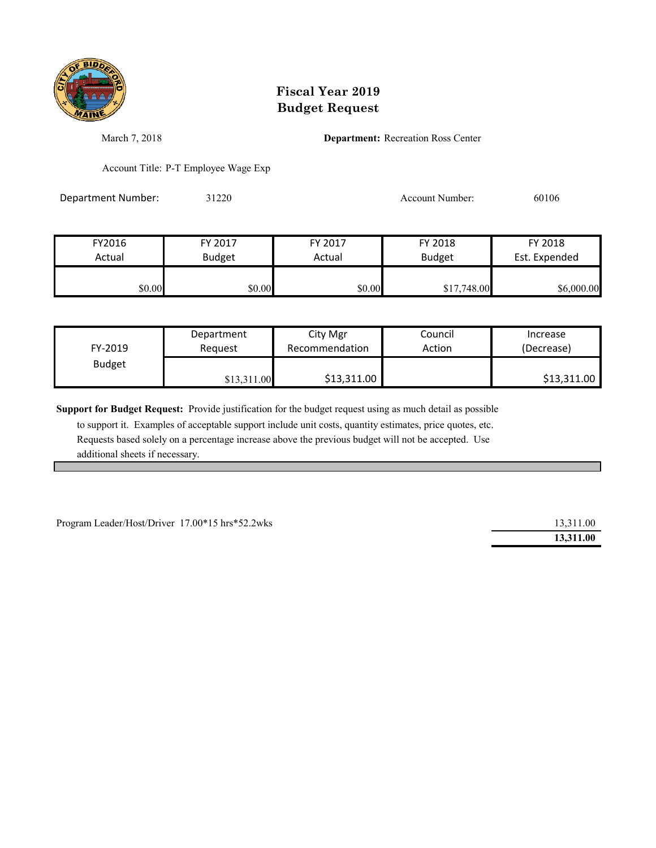

March 7, 2018 **Department:** Recreation Ross Center

Account Title: P-T Employee Wage Exp

Department Number: 31220 31220 Account Number: 60106

| FY2016 | FY 2017       | FY 2017 | FY 2018       | FY 2018       |
|--------|---------------|---------|---------------|---------------|
| Actual | <b>Budget</b> | Actual  | <b>Budget</b> | Est. Expended |
|        |               |         |               |               |
| \$0.00 | \$0.00        | \$0.00  | \$17,748.00   | \$6,000.00    |

| FY-2019       | Department  | City Mgr       | Council | Increase    |
|---------------|-------------|----------------|---------|-------------|
|               | Reauest     | Recommendation | Action  | (Decrease)  |
| <b>Budget</b> | \$13,311.00 | \$13,311.00    |         | \$13,311.00 |

**Support for Budget Request:** Provide justification for the budget request using as much detail as possible

 to support it. Examples of acceptable support include unit costs, quantity estimates, price quotes, etc. Requests based solely on a percentage increase above the previous budget will not be accepted. Use additional sheets if necessary.

Program Leader/Host/Driver 17.00\*15 hrs\*52.2wks

| 13,311.00 |
|-----------|
| 13,311.00 |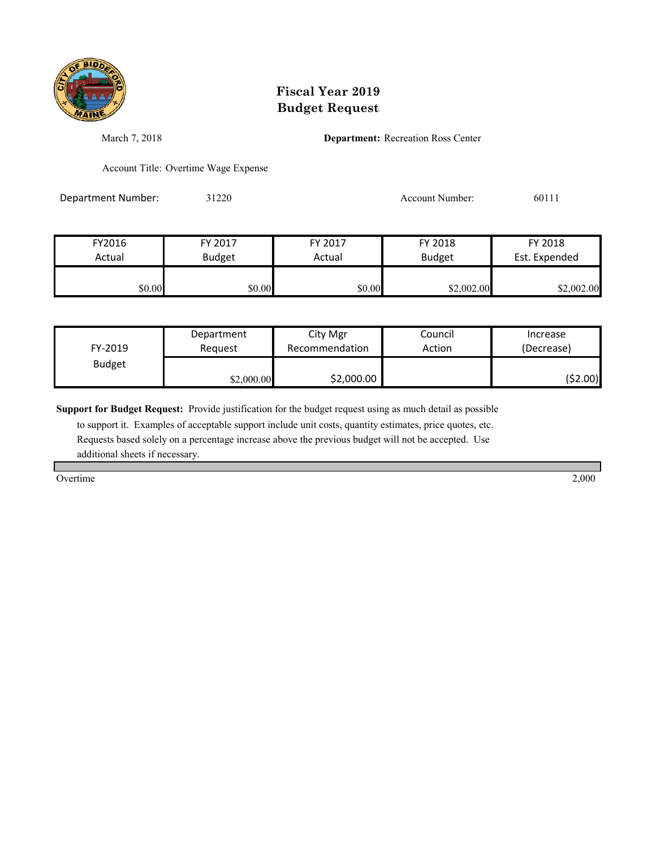

March 7, 2018 **Department:** Recreation Ross Center

Account Title: Overtime Wage Expense

Department Number: 31220 31220 Account Number: 60111

| FY2016 | FY 2017       | FY 2017 | FY 2018       | FY 2018       |
|--------|---------------|---------|---------------|---------------|
| Actual | <b>Budget</b> | Actual  | <b>Budget</b> | Est. Expended |
| \$0.00 | \$0.00        | \$0.00  | \$2,002.00    | \$2,002.00    |

| FY-2019       | Department | City Mgr       | Council | Increase   |
|---------------|------------|----------------|---------|------------|
|               | Reauest    | Recommendation | Action  | (Decrease) |
| <b>Budget</b> | \$2,000.00 | \$2,000.00     |         | (52.00)    |

**Support for Budget Request:** Provide justification for the budget request using as much detail as possible

 to support it. Examples of acceptable support include unit costs, quantity estimates, price quotes, etc. Requests based solely on a percentage increase above the previous budget will not be accepted. Use additional sheets if necessary.

Overtime 2,000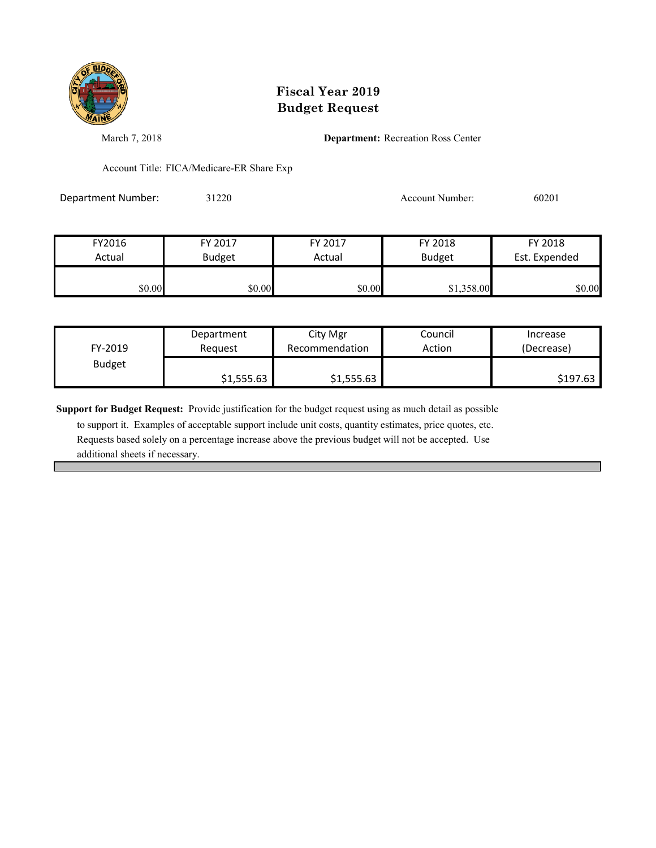

March 7, 2018 **Department:** Recreation Ross Center

Account Title: FICA/Medicare-ER Share Exp

Department Number: 31220 31220 Account Number: 60201

| FY2016 | FY 2017       | FY 2017 | FY 2018       | FY 2018       |
|--------|---------------|---------|---------------|---------------|
| Actual | <b>Budget</b> | Actual  | <b>Budget</b> | Est. Expended |
| \$0.00 | \$0.00        | \$0.00  | \$1,358.00    | \$0.00        |

| FY-2019       | Department | City Mgr       | Council | Increase   |
|---------------|------------|----------------|---------|------------|
|               | Reauest    | Recommendation | Action  | (Decrease) |
| <b>Budget</b> | \$1,555.63 | \$1,555.63     |         | \$197.63   |

**Support for Budget Request:** Provide justification for the budget request using as much detail as possible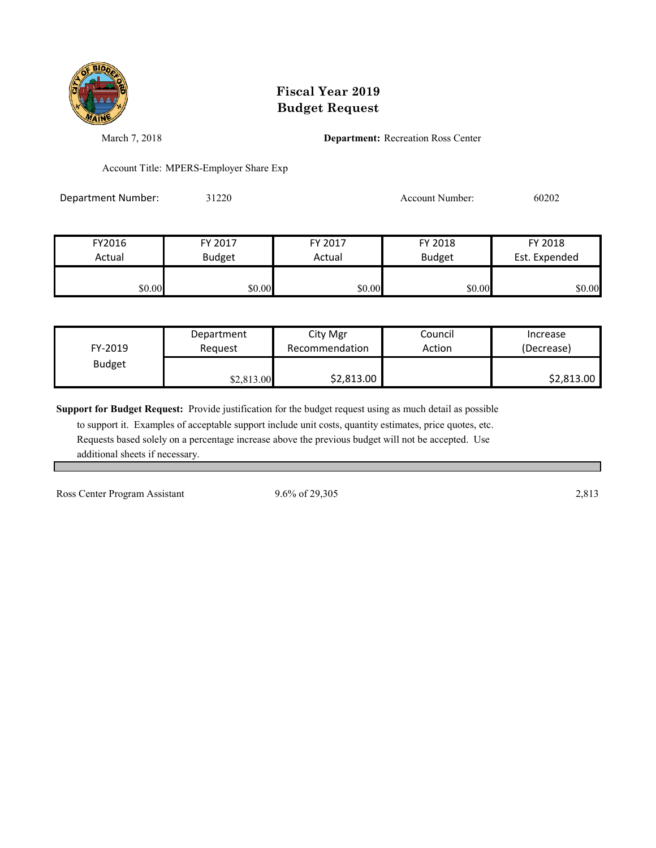

March 7, 2018 **Department:** Recreation Ross Center

Account Title: MPERS-Employer Share Exp

Department Number: 31220 31220 Account Number: 60202

| FY2016 | FY 2017       | FY 2017 | FY 2018       | FY 2018       |
|--------|---------------|---------|---------------|---------------|
| Actual | <b>Budget</b> | Actual  | <b>Budget</b> | Est. Expended |
| \$0.00 | \$0.00        | \$0.00  | \$0.00        | \$0.00        |

| FY-2019       | Department | City Mgr       | Council | Increase   |
|---------------|------------|----------------|---------|------------|
|               | Reauest    | Recommendation | Action  | (Decrease) |
| <b>Budget</b> | \$2,813.00 | \$2,813.00     |         | \$2,813.00 |

**Support for Budget Request:** Provide justification for the budget request using as much detail as possible

 to support it. Examples of acceptable support include unit costs, quantity estimates, price quotes, etc. Requests based solely on a percentage increase above the previous budget will not be accepted. Use additional sheets if necessary.

Ross Center Program Assistant 9.6% of 29,305 2,813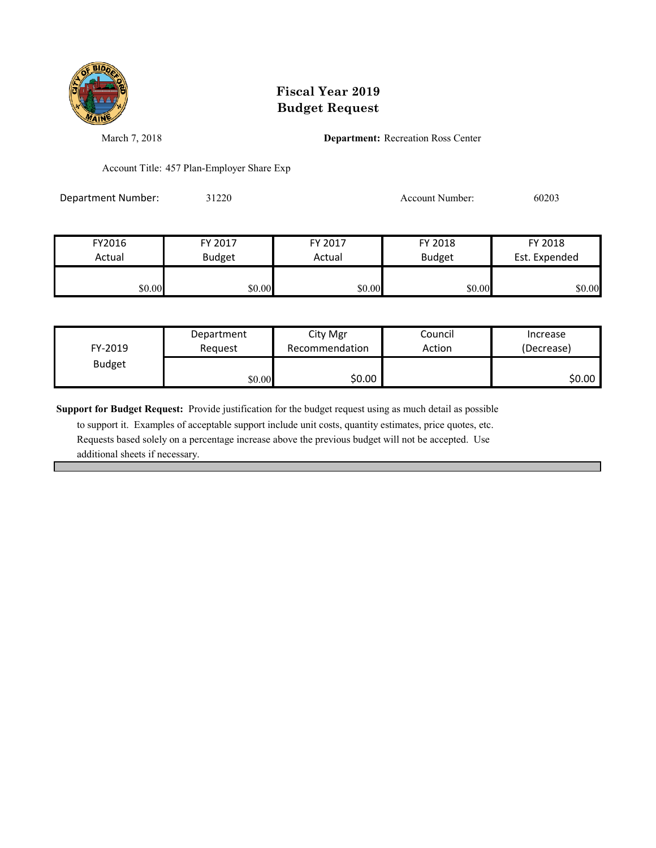

March 7, 2018 **Department:** Recreation Ross Center

Account Title: 457 Plan-Employer Share Exp

Department Number: 31220 3 31220 Account Number: 60203

| FY2016 | FY 2017       | FY 2017 | FY 2018       | FY 2018       |
|--------|---------------|---------|---------------|---------------|
| Actual | <b>Budget</b> | Actual  | <b>Budget</b> | Est. Expended |
|        |               |         |               |               |
| \$0.00 | \$0.00        | \$0.00  | \$0.00        | \$0.00        |

| FY-2019       | Department | City Mgr       | Council | Increase   |
|---------------|------------|----------------|---------|------------|
|               | Reauest    | Recommendation | Action  | (Decrease) |
| <b>Budget</b> | \$0.00     | \$0.00         |         | \$0.00     |

**Support for Budget Request:** Provide justification for the budget request using as much detail as possible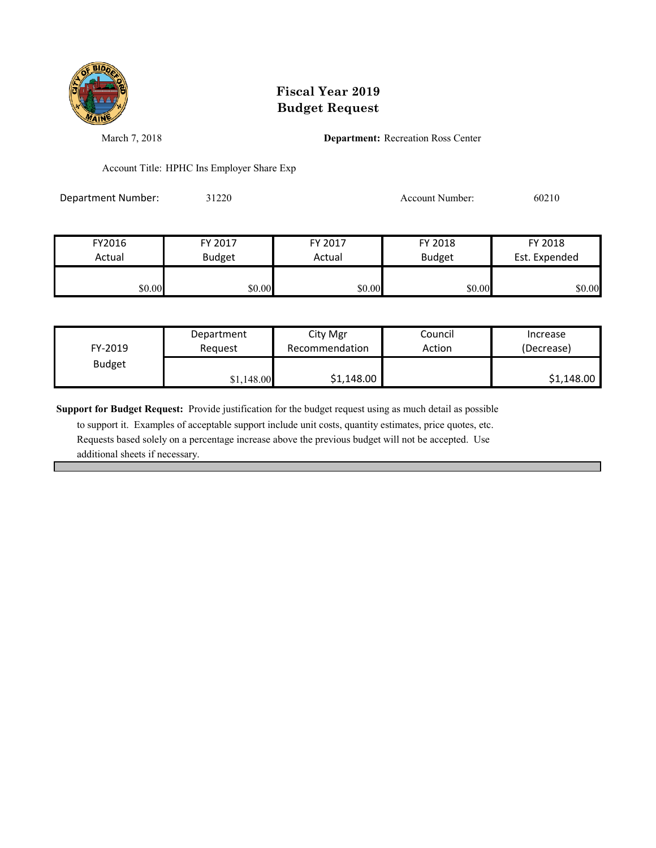

March 7, 2018 **Department:** Recreation Ross Center

Account Title: HPHC Ins Employer Share Exp

Department Number: 31220 31220 Account Number: 60210

| FY2016 | FY 2017       | FY 2017 | FY 2018       | FY 2018       |
|--------|---------------|---------|---------------|---------------|
| Actual | <b>Budget</b> | Actual  | <b>Budget</b> | Est. Expended |
|        |               |         |               |               |
| \$0.00 | \$0.00        | \$0.00  | \$0.00        | \$0.00        |

| FY-2019       | Department | City Mgr       | Council | Increase   |
|---------------|------------|----------------|---------|------------|
|               | Reauest    | Recommendation | Action  | (Decrease) |
| <b>Budget</b> | \$1,148.00 | \$1,148.00     |         | \$1,148.00 |

**Support for Budget Request:** Provide justification for the budget request using as much detail as possible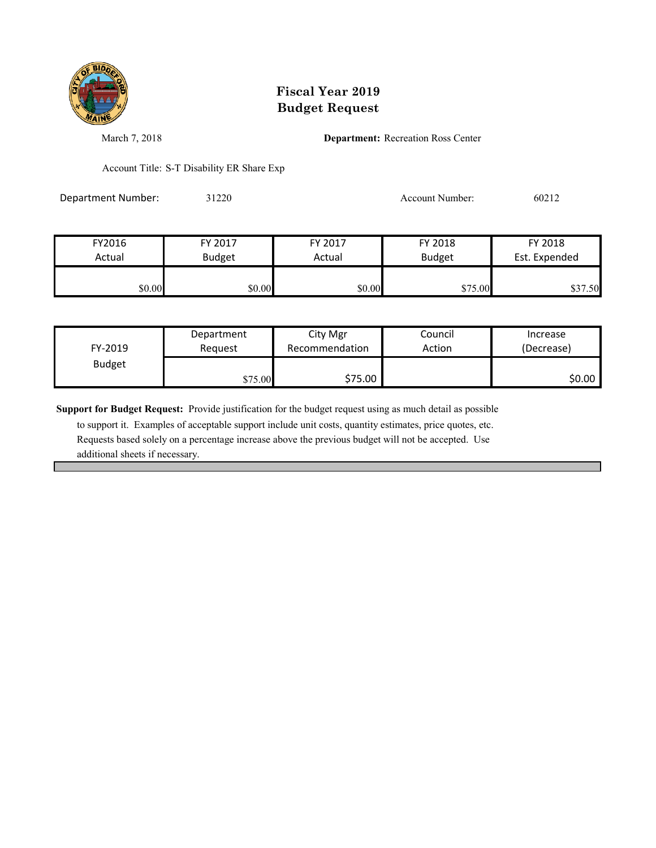

March 7, 2018 **Department:** Recreation Ross Center

Account Title: S-T Disability ER Share Exp

Department Number: 31220 31220 Account Number: 60212

| FY2016 | FY 2017       | FY 2017 | FY 2018       | FY 2018       |
|--------|---------------|---------|---------------|---------------|
| Actual | <b>Budget</b> | Actual  | <b>Budget</b> | Est. Expended |
|        |               |         |               |               |
| \$0.00 | \$0.00        | \$0.00  | \$75.00       | \$37.50       |

| FY-2019       | Department | City Mgr       | Council | Increase   |
|---------------|------------|----------------|---------|------------|
|               | Reauest    | Recommendation | Action  | (Decrease) |
| <b>Budget</b> | \$75.00    | \$75.00        |         | \$0.00     |

**Support for Budget Request:** Provide justification for the budget request using as much detail as possible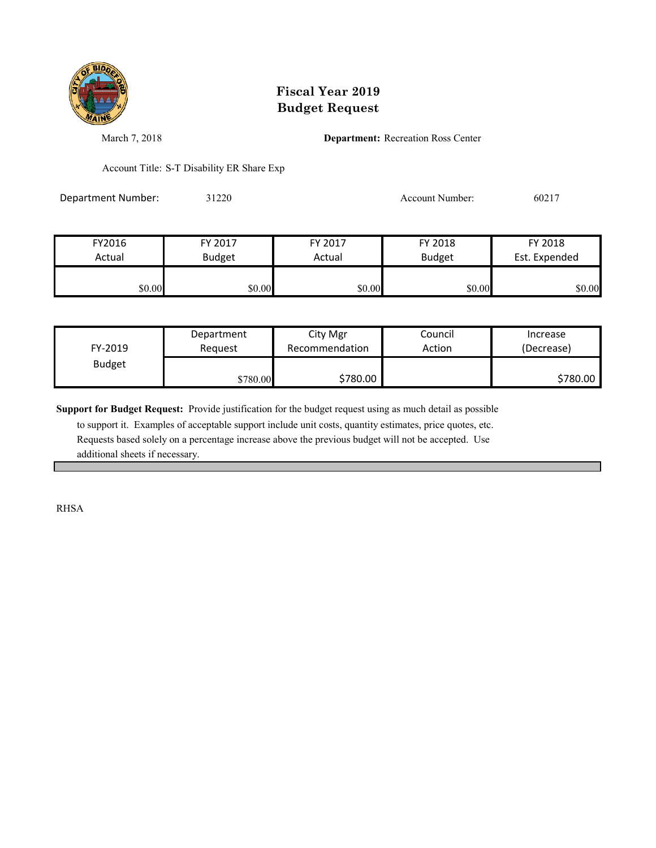

March 7, 2018 **Department:** Recreation Ross Center

Account Title: S-T Disability ER Share Exp

Department Number: 31220 31220 Account Number: 60217

| FY2016 | FY 2017       | FY 2017 | FY 2018       | FY 2018       |
|--------|---------------|---------|---------------|---------------|
| Actual | <b>Budget</b> | Actual  | <b>Budget</b> | Est. Expended |
| \$0.00 | \$0.00        | \$0.00  | \$0.00        | \$0.00        |

| FY-2019       | Department | City Mgr       | Council | Increase   |
|---------------|------------|----------------|---------|------------|
|               | Reauest    | Recommendation | Action  | (Decrease) |
| <b>Budget</b> | \$780.00   | \$780.00       |         | \$780.00   |

**Support for Budget Request:** Provide justification for the budget request using as much detail as possible

 to support it. Examples of acceptable support include unit costs, quantity estimates, price quotes, etc. Requests based solely on a percentage increase above the previous budget will not be accepted. Use additional sheets if necessary.

RHSA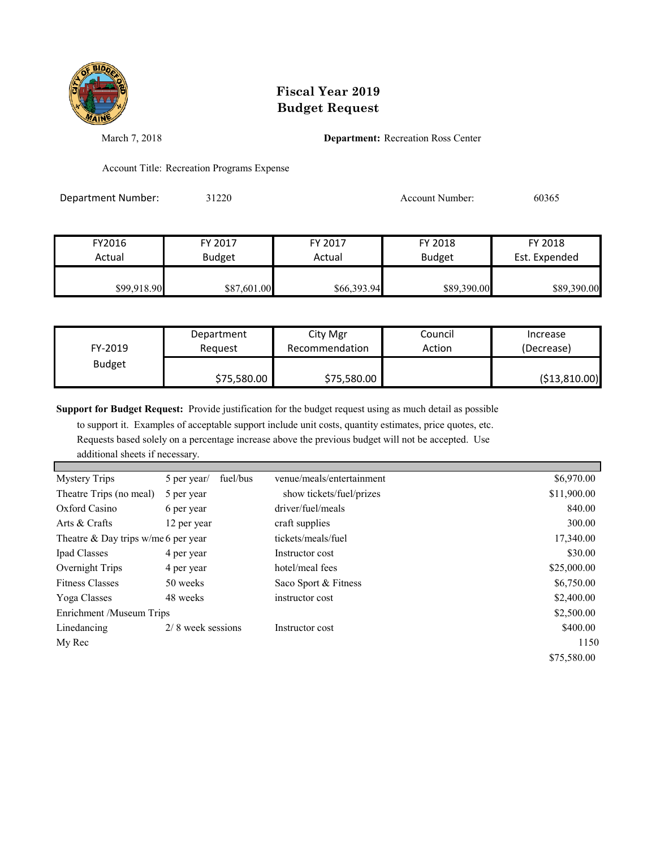

March 7, 2018 **Department:** Recreation Ross Center

Account Title: Recreation Programs Expense

Department Number: 31220 31220 Account Number: 60365

| FY2016      | FY 2017       | FY 2017     | FY 2018       | FY 2018       |
|-------------|---------------|-------------|---------------|---------------|
| Actual      | <b>Budget</b> | Actual      | <b>Budget</b> | Est. Expended |
| \$99,918.90 | \$87,601.00   | \$66,393.94 | \$89,390.00   | \$89,390.00   |

| FY-2019       | Department  | City Mgr       | Council | Increase      |
|---------------|-------------|----------------|---------|---------------|
|               | Reauest     | Recommendation | Action  | (Decrease)    |
| <b>Budget</b> | \$75,580.00 | \$75,580.00    |         | (\$13,810.00) |

**Support for Budget Request:** Provide justification for the budget request using as much detail as possible

to support it. Examples of acceptable support include unit costs, quantity estimates, price quotes, etc.

Requests based solely on a percentage increase above the previous budget will not be accepted. Use

additional sheets if necessary.

| <b>Mystery Trips</b>                  | 5 per year/       | fuel/bus | venue/meals/entertainment | \$6,970.00  |
|---------------------------------------|-------------------|----------|---------------------------|-------------|
| Theatre Trips (no meal)               | 5 per year        |          | show tickets/fuel/prizes  | \$11,900.00 |
| Oxford Casino                         | 6 per year        |          | driver/fuel/meals         | 840.00      |
| Arts & Crafts                         | 12 per year       |          | craft supplies            | 300.00      |
| Theatre & Day trips $w/me$ 6 per year |                   |          | tickets/meals/fuel        | 17,340.00   |
| Ipad Classes                          | 4 per year        |          | Instructor cost           | \$30.00     |
| Overnight Trips                       | 4 per year        |          | hotel/meal fees           | \$25,000.00 |
| <b>Fitness Classes</b>                | 50 weeks          |          | Saco Sport & Fitness      | \$6,750.00  |
| Yoga Classes                          | 48 weeks          |          | instructor cost           | \$2,400.00  |
| Enrichment/Museum Trips               |                   |          |                           | \$2,500.00  |
| Linedancing                           | 2/8 week sessions |          | Instructor cost           | \$400.00    |
| My Rec                                |                   |          |                           | 1150        |
|                                       |                   |          |                           | \$75,580.00 |